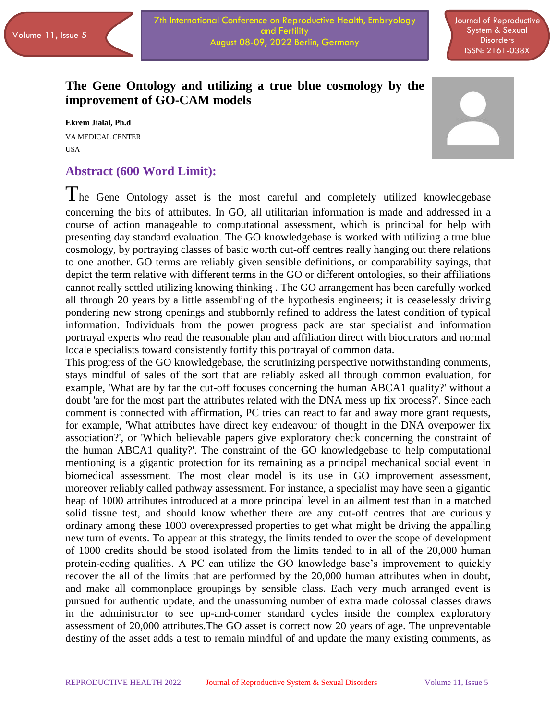Journal of Reproductive System & Sexual **Disorders** ISSN: 2161-038X

## **The Gene Ontology and utilizing a true blue cosmology by the improvement of GO-CAM models**

**Ekrem Jialal, Ph.d** VA MEDICAL CENTER USA



#### **Abstract (600 Word Limit):**

The Gene Ontology asset is the most careful and completely utilized knowledgebase concerning the bits of attributes. In GO, all utilitarian information is made and addressed in a course of action manageable to computational assessment, which is principal for help with presenting day standard evaluation. The GO knowledgebase is worked with utilizing a true blue cosmology, by portraying classes of basic worth cut-off centres really hanging out there relations to one another. GO terms are reliably given sensible definitions, or comparability sayings, that depict the term relative with different terms in the GO or different ontologies, so their affiliations cannot really settled utilizing knowing thinking . The GO arrangement has been carefully worked all through 20 years by a little assembling of the hypothesis engineers; it is ceaselessly driving pondering new strong openings and stubbornly refined to address the latest condition of typical information. Individuals from the power progress pack are star specialist and information portrayal experts who read the reasonable plan and affiliation direct with biocurators and normal locale specialists toward consistently fortify this portrayal of common data.

This progress of the GO knowledgebase, the scrutinizing perspective notwithstanding comments, stays mindful of sales of the sort that are reliably asked all through common evaluation, for example, 'What are by far the cut-off focuses concerning the human ABCA1 quality?' without a doubt 'are for the most part the attributes related with the DNA mess up fix process?'. Since each comment is connected with affirmation, PC tries can react to far and away more grant requests, for example, 'What attributes have direct key endeavour of thought in the DNA overpower fix association?', or 'Which believable papers give exploratory check concerning the constraint of the human ABCA1 quality?'. The constraint of the GO knowledgebase to help computational mentioning is a gigantic protection for its remaining as a principal mechanical social event in biomedical assessment. The most clear model is its use in GO improvement assessment, moreover reliably called pathway assessment. For instance, a specialist may have seen a gigantic heap of 1000 attributes introduced at a more principal level in an ailment test than in a matched solid tissue test, and should know whether there are any cut-off centres that are curiously ordinary among these 1000 overexpressed properties to get what might be driving the appalling new turn of events. To appear at this strategy, the limits tended to over the scope of development of 1000 credits should be stood isolated from the limits tended to in all of the 20,000 human protein-coding qualities. A PC can utilize the GO knowledge base's improvement to quickly recover the all of the limits that are performed by the 20,000 human attributes when in doubt, and make all commonplace groupings by sensible class. Each very much arranged event is pursued for authentic update, and the unassuming number of extra made colossal classes draws in the administrator to see up-and-comer standard cycles inside the complex exploratory assessment of 20,000 attributes.The GO asset is correct now 20 years of age. The unpreventable destiny of the asset adds a test to remain mindful of and update the many existing comments, as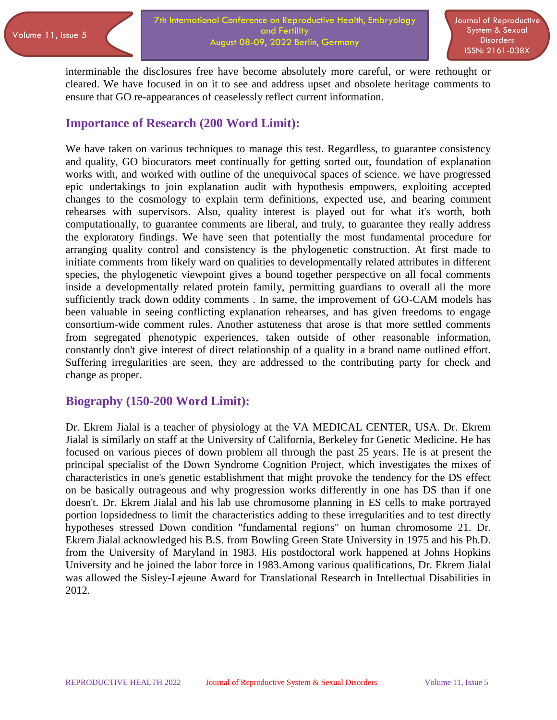interminable the disclosures free have become absolutely more careful, or were rethought or cleared. We have focused in on it to see and address upset and obsolete heritage comments to ensure that GO re-appearances of ceaselessly reflect current information.

## **Importance of Research (200 Word Limit):**

We have taken on various techniques to manage this test. Regardless, to guarantee consistency and quality, GO biocurators meet continually for getting sorted out, foundation of explanation works with, and worked with outline of the unequivocal spaces of science. we have progressed epic undertakings to join explanation audit with hypothesis empowers, exploiting accepted changes to the cosmology to explain term definitions, expected use, and bearing comment rehearses with supervisors. Also, quality interest is played out for what it's worth, both computationally, to guarantee comments are liberal, and truly, to guarantee they really address the exploratory findings. We have seen that potentially the most fundamental procedure for arranging quality control and consistency is the phylogenetic construction. At first made to initiate comments from likely ward on qualities to developmentally related attributes in different species, the phylogenetic viewpoint gives a bound together perspective on all focal comments inside a developmentally related protein family, permitting guardians to overall all the more sufficiently track down oddity comments . In same, the improvement of GO-CAM models has been valuable in seeing conflicting explanation rehearses, and has given freedoms to engage consortium-wide comment rules. Another astuteness that arose is that more settled comments from segregated phenotypic experiences, taken outside of other reasonable information, constantly don't give interest of direct relationship of a quality in a brand name outlined effort. Suffering irregularities are seen, they are addressed to the contributing party for check and change as proper.

### **Biography (150-200 Word Limit):**

Dr. Ekrem Jialal is a teacher of physiology at the VA MEDICAL CENTER, USA. Dr. Ekrem Jialal is similarly on staff at the University of California, Berkeley for Genetic Medicine. He has focused on various pieces of down problem all through the past 25 years. He is at present the principal specialist of the Down Syndrome Cognition Project, which investigates the mixes of characteristics in one's genetic establishment that might provoke the tendency for the DS effect on be basically outrageous and why progression works differently in one has DS than if one doesn't. Dr. Ekrem Jialal and his lab use chromosome planning in ES cells to make portrayed portion lopsidedness to limit the characteristics adding to these irregularities and to test directly hypotheses stressed Down condition "fundamental regions" on human chromosome 21. Dr. Ekrem Jialal acknowledged his B.S. from Bowling Green State University in 1975 and his Ph.D. from the University of Maryland in 1983. His postdoctoral work happened at Johns Hopkins University and he joined the labor force in 1983.Among various qualifications, Dr. Ekrem Jialal was allowed the Sisley-Lejeune Award for Translational Research in Intellectual Disabilities in 2012.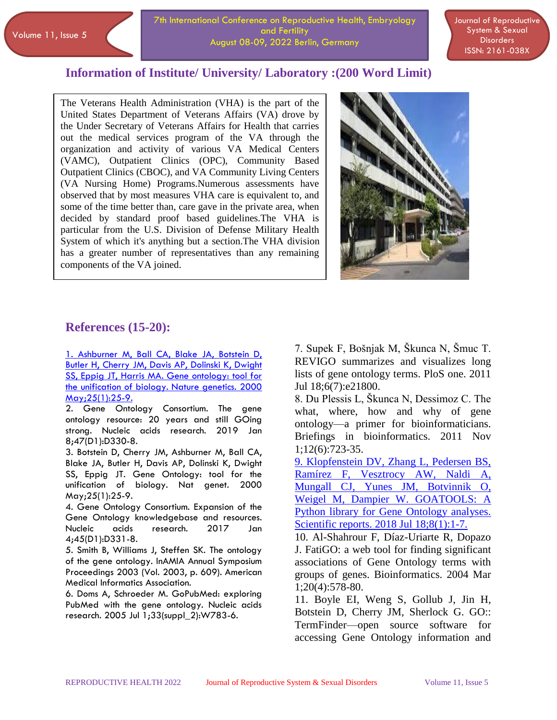### **Information of Institute/ University/ Laboratory :(200 Word Limit)**

The Veterans Health Administration (VHA) is the part of the United States Department of Veterans Affairs (VA) drove by the Under Secretary of Veterans Affairs for Health that carries out the medical services program of the VA through the organization and activity of various VA Medical Centers (VAMC), Outpatient Clinics (OPC), Community Based Outpatient Clinics (CBOC), and VA Community Living Centers (VA Nursing Home) Programs.Numerous assessments have observed that by most measures VHA care is equivalent to, and some of the time better than, care gave in the private area, when decided by standard proof based guidelines.The VHA is particular from the U.S. Division of Defense Military Health System of which it's anything but a section.The VHA division has a greater number of representatives than any remaining components of the VA joined.



# **References (15-20):**

 $\overline{a}$ 

[1. Ashburner M, Ball CA, Blake JA, Botstein D,](https://www.longdom.org/reproductive-system-sexual-disorders/archive.html)  [Butler H, Cherry JM, Davis AP, Dolinski K, Dwight](https://www.longdom.org/reproductive-system-sexual-disorders/archive.html)  [SS, Eppig JT, Harris MA. Gene ontology: tool for](https://www.longdom.org/reproductive-system-sexual-disorders/archive.html)  [the unification of biology. Nature genetics. 2000](https://www.longdom.org/reproductive-system-sexual-disorders/archive.html)  [May;25\(1\):25-9.](https://www.longdom.org/reproductive-system-sexual-disorders/archive.html)

2. Gene Ontology Consortium. The gene ontology resource: 20 years and still GOing strong. Nucleic acids research. 2019 Jan 8;47(D1):D330-8.

3. Botstein D, Cherry JM, Ashburner M, Ball CA, Blake JA, Butler H, Davis AP, Dolinski K, Dwight SS, Eppig JT. Gene Ontology: tool for the unification of biology. Nat genet. 2000 May;25(1):25-9.

4. Gene Ontology Consortium. Expansion of the Gene Ontology knowledgebase and resources. Nucleic acids research. 2017 Jan 4;45(D1):D331-8.

5. Smith B, Williams J, Steffen SK. The ontology of the gene ontology. InAMIA Annual Symposium Proceedings 2003 (Vol. 2003, p. 609). American Medical Informatics Association.

6. Doms A, Schroeder M. GoPubMed: exploring PubMed with the gene ontology. Nucleic acids research. 2005 Jul 1;33(suppl\_2):W783-6.

7. Supek F, Bošnjak M, Škunca N, Šmuc T. REVIGO summarizes and visualizes long lists of gene ontology terms. PloS one. 2011 Jul 18;6(7):e21800.

8. Du Plessis L, Škunca N, Dessimoz C. The what, where, how and why of gene ontology—a primer for bioinformaticians. Briefings in bioinformatics. 2011 Nov 1;12(6):723-35.

[9. Klopfenstein DV, Zhang L, Pedersen BS,](https://www.longdom.org/reproductive-system-sexual-disorders/)  [Ramírez F, Vesztrocy AW, Naldi A,](https://www.longdom.org/reproductive-system-sexual-disorders/)  [Mungall CJ, Yunes JM, Botvinnik O,](https://www.longdom.org/reproductive-system-sexual-disorders/)  [Weigel M, Dampier W. GOATOOLS: A](https://www.longdom.org/reproductive-system-sexual-disorders/)  [Python library for Gene Ontology analyses.](https://www.longdom.org/reproductive-system-sexual-disorders/)  [Scientific reports. 2018 Jul 18;8\(1\):1-7.](https://www.longdom.org/reproductive-system-sexual-disorders/)

10. Al-Shahrour F, Díaz-Uriarte R, Dopazo J. FatiGO: a web tool for finding significant associations of Gene Ontology terms with groups of genes. Bioinformatics. 2004 Mar 1;20(4):578-80.

11. Boyle EI, Weng S, Gollub J, Jin H, Botstein D, Cherry JM, Sherlock G. GO:: TermFinder—open source software for accessing Gene Ontology information and